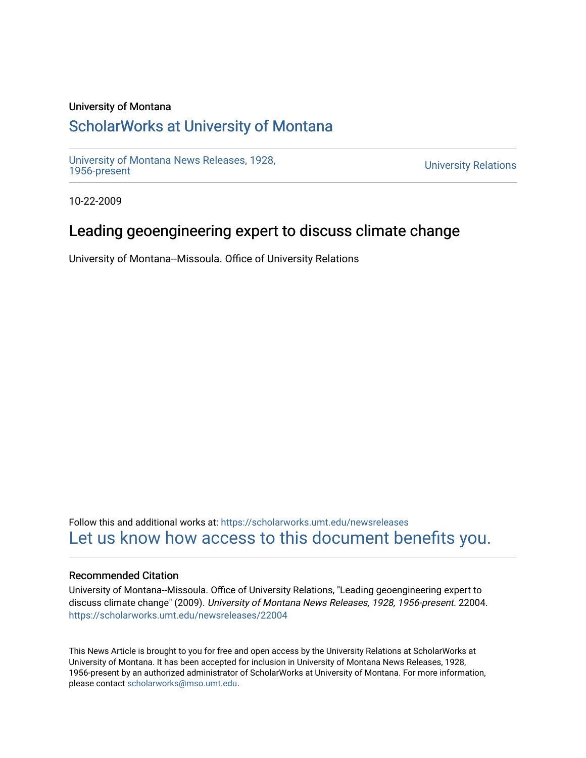#### University of Montana

# [ScholarWorks at University of Montana](https://scholarworks.umt.edu/)

[University of Montana News Releases, 1928,](https://scholarworks.umt.edu/newsreleases) 

**University Relations** 

10-22-2009

# Leading geoengineering expert to discuss climate change

University of Montana--Missoula. Office of University Relations

Follow this and additional works at: [https://scholarworks.umt.edu/newsreleases](https://scholarworks.umt.edu/newsreleases?utm_source=scholarworks.umt.edu%2Fnewsreleases%2F22004&utm_medium=PDF&utm_campaign=PDFCoverPages) [Let us know how access to this document benefits you.](https://goo.gl/forms/s2rGfXOLzz71qgsB2) 

#### Recommended Citation

University of Montana--Missoula. Office of University Relations, "Leading geoengineering expert to discuss climate change" (2009). University of Montana News Releases, 1928, 1956-present. 22004. [https://scholarworks.umt.edu/newsreleases/22004](https://scholarworks.umt.edu/newsreleases/22004?utm_source=scholarworks.umt.edu%2Fnewsreleases%2F22004&utm_medium=PDF&utm_campaign=PDFCoverPages) 

This News Article is brought to you for free and open access by the University Relations at ScholarWorks at University of Montana. It has been accepted for inclusion in University of Montana News Releases, 1928, 1956-present by an authorized administrator of ScholarWorks at University of Montana. For more information, please contact [scholarworks@mso.umt.edu.](mailto:scholarworks@mso.umt.edu)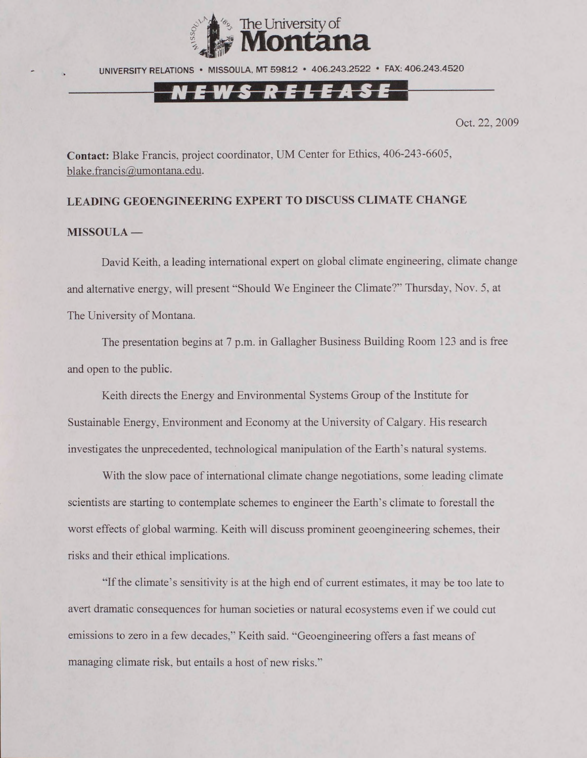

UNIVERSITY RELATIONS • MISSOULA. MT 59812 • 406.243.2522 • FAX: 406.243.4520

## **IT** *i i*

Oct. 22, 2009

**Contact:** Blake Francis, project coordinator, UM Center for Ethics, 406-243-6605, [blake.francis@umontana.edu](mailto:blake.francis@umontana.edu).

### **LEADING GEOENGINEERING EXPERT TO DISCUSS CLIMATE CHANGE MISSOULA —**

David Keith, a leading international expert on global climate engineering, climate change and alternative energy, will present "Should We Engineer the Climate?" Thursday, Nov. 5, at The University of Montana.

The presentation begins at 7 p.m. in Gallagher Business Building Room 123 and is free and open to the public.

Keith directs the Energy and Environmental Systems Group of the Institute for Sustainable Energy, Environment and Economy at the University of Calgary. His research investigates the unprecedented, technological manipulation of the Earth's natural systems.

With the slow pace of international climate change negotiations, some leading climate scientists are starting to contemplate schemes to engineer the Earth's climate to forestall the worst effects of global warming. Keith will discuss prominent geoengineering schemes, their risks and their ethical implications.

"If the climate's sensitivity is at the high end of current estimates, it may be too late to avert dramatic consequences for human societies or natural ecosystems even if we could cut emissions to zero in a few decades," Keith said. "Geoengineering offers a fast means of managing climate risk, but entails a host of new risks."